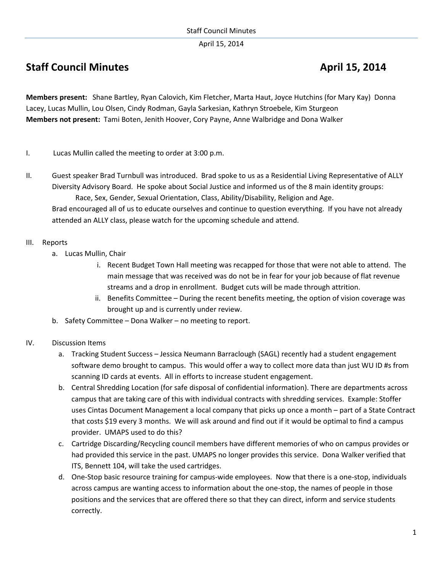April 15, 2014

# **Staff Council Minutes April 15, 2014**

**Members present:** Shane Bartley, Ryan Calovich, Kim Fletcher, Marta Haut, Joyce Hutchins (for Mary Kay) Donna Lacey, Lucas Mullin, Lou Olsen, Cindy Rodman, Gayla Sarkesian, Kathryn Stroebele, Kim Sturgeon **Members not present:** Tami Boten, Jenith Hoover, Cory Payne, Anne Walbridge and Dona Walker

- I. Lucas Mullin called the meeting to order at 3:00 p.m.
- II. Guest speaker Brad Turnbull was introduced. Brad spoke to us as a Residential Living Representative of ALLY Diversity Advisory Board. He spoke about Social Justice and informed us of the 8 main identity groups: Race, Sex, Gender, Sexual Orientation, Class, Ability/Disability, Religion and Age.

Brad encouraged all of us to educate ourselves and continue to question everything. If you have not already attended an ALLY class, please watch for the upcoming schedule and attend.

### III. Reports

- a. Lucas Mullin, Chair
	- i. Recent Budget Town Hall meeting was recapped for those that were not able to attend. The main message that was received was do not be in fear for your job because of flat revenue streams and a drop in enrollment. Budget cuts will be made through attrition.
	- ii. Benefits Committee During the recent benefits meeting, the option of vision coverage was brought up and is currently under review.
- b. Safety Committee Dona Walker no meeting to report.

## IV. Discussion Items

- a. Tracking Student Success Jessica Neumann Barraclough (SAGL) recently had a student engagement software demo brought to campus. This would offer a way to collect more data than just WU ID #s from scanning ID cards at events. All in efforts to increase student engagement.
- b. Central Shredding Location (for safe disposal of confidential information). There are departments across campus that are taking care of this with individual contracts with shredding services. Example: Stoffer uses Cintas Document Management a local company that picks up once a month – part of a State Contract that costs \$19 every 3 months. We will ask around and find out if it would be optimal to find a campus provider. UMAPS used to do this?
- c. Cartridge Discarding/Recycling council members have different memories of who on campus provides or had provided this service in the past. UMAPS no longer provides this service. Dona Walker verified that ITS, Bennett 104, will take the used cartridges.
- d. One-Stop basic resource training for campus-wide employees. Now that there is a one-stop, individuals across campus are wanting access to information about the one-stop, the names of people in those positions and the services that are offered there so that they can direct, inform and service students correctly.